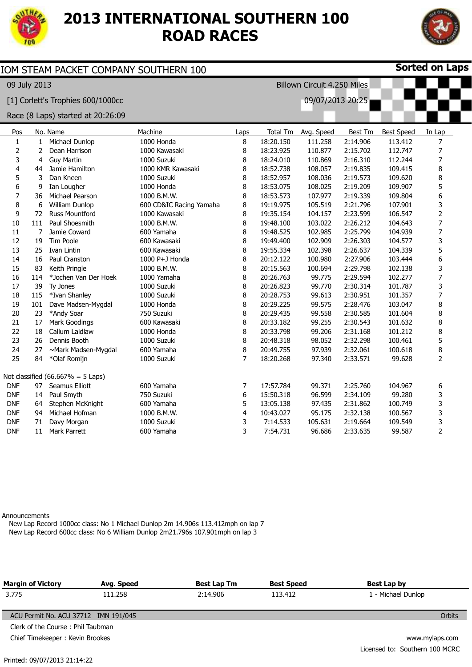

## **2013 INTERNATIONAL SOUTHERN 100 ROAD RACES**



| <b>Sorted on Laps</b><br>IOM STEAM PACKET COMPANY SOUTHERN 100 |                |                                      |                         |                |                 |            |                |                   |                          |
|----------------------------------------------------------------|----------------|--------------------------------------|-------------------------|----------------|-----------------|------------|----------------|-------------------|--------------------------|
| 09 July 2013<br>Billown Circuit 4.250 Miles                    |                |                                      |                         |                |                 |            |                |                   |                          |
| [1] Corlett's Trophies 600/1000cc<br>09/07/2013 20:25          |                |                                      |                         |                |                 |            |                |                   |                          |
|                                                                |                | Race (8 Laps) started at 20:26:09    |                         |                |                 |            |                |                   |                          |
| Pos                                                            |                | No. Name                             | Machine                 | Laps           | <b>Total Tm</b> | Avg. Speed | <b>Best Tm</b> | <b>Best Speed</b> | In Lap                   |
| $\mathbf{1}$                                                   | $\mathbf{1}$   | Michael Dunlop                       | 1000 Honda              | 8              | 18:20.150       | 111.258    | 2:14.906       | 113.412           | 7                        |
| $\overline{2}$                                                 | $\overline{2}$ | Dean Harrison                        | 1000 Kawasaki           | 8              | 18:23.925       | 110.877    | 2:15.702       | 112.747           | 7                        |
| 3                                                              | 4              | <b>Guy Martin</b>                    | 1000 Suzuki             | 8              | 18:24.010       | 110.869    | 2:16.310       | 112.244           | 7                        |
| 4                                                              | 44             | Jamie Hamilton                       | 1000 KMR Kawasaki       | 8              | 18:52.738       | 108.057    | 2:19.835       | 109.415           | 8                        |
| 5                                                              | 3              | Dan Kneen                            | 1000 Suzuki             | 8              | 18:52.957       | 108.036    | 2:19.573       | 109.620           | 8                        |
| 6                                                              | 9              | Ian Lougher                          | 1000 Honda              | 8              | 18:53.075       | 108.025    | 2:19.209       | 109.907           | 5                        |
| $\overline{7}$                                                 | 36             | Michael Pearson                      | 1000 B.M.W.             | 8              | 18:53.573       | 107.977    | 2:19.339       | 109.804           | 6                        |
| 8                                                              | 6              | William Dunlop                       | 600 CD&IC Racing Yamaha | 8              | 19:19.975       | 105.519    | 2:21.796       | 107.901           | 3                        |
| 9                                                              | 72             | Russ Mountford                       | 1000 Kawasaki           | 8              | 19:35.154       | 104.157    | 2:23.599       | 106.547           | 2                        |
| 10                                                             | 111            | Paul Shoesmith                       | 1000 B.M.W.             | 8              | 19:48.100       | 103.022    | 2:26.212       | 104.643           | $\overline{7}$           |
| 11                                                             | 7              | Jamie Coward                         | 600 Yamaha              | 8              | 19:48.525       | 102.985    | 2:25.799       | 104.939           | 7                        |
| 12                                                             | 19             | Tim Poole                            | 600 Kawasaki            | 8              | 19:49.400       | 102.909    | 2:26.303       | 104.577           | 3                        |
| 13                                                             | 25             | Ivan Lintin                          | 600 Kawasaki            | 8              | 19:55.334       | 102.398    | 2:26.637       | 104.339           | 5                        |
| 14                                                             | 16             | Paul Cranston                        | 1000 P+J Honda          | 8              | 20:12.122       | 100.980    | 2:27.906       | 103.444           | 6                        |
| 15                                                             | 83             | Keith Pringle                        | 1000 B.M.W.             | 8              | 20:15.563       | 100.694    | 2:29.798       | 102.138           | 3                        |
| 16                                                             | 114            | *Jochen Van Der Hoek                 | 1000 Yamaha             | 8              | 20:26.763       | 99.775     | 2:29.594       | 102.277           | $\overline{\mathcal{I}}$ |
| 17                                                             | 39             | Ty Jones                             | 1000 Suzuki             | 8              | 20:26.823       | 99.770     | 2:30.314       | 101.787           | 3                        |
| 18                                                             | 115            | *Ivan Shanley                        | 1000 Suzuki             | 8              | 20:28.753       | 99.613     | 2:30.951       | 101.357           | 7                        |
| 19                                                             | 101            | Dave Madsen-Mygdal                   | 1000 Honda              | 8              | 20:29.225       | 99.575     | 2:28.476       | 103.047           | 8                        |
| 20                                                             | 23             | *Andy Soar                           | 750 Suzuki              | 8              | 20:29.435       | 99.558     | 2:30.585       | 101.604           | 8                        |
| 21                                                             | 17             | Mark Goodings                        | 600 Kawasaki            | 8              | 20:33.182       | 99.255     | 2:30.543       | 101.632           | 8                        |
| 22                                                             | 18             | Callum Laidlaw                       | 1000 Honda              | 8              | 20:33.798       | 99.206     | 2:31.168       | 101.212           | 8                        |
| 23                                                             | 26             | Dennis Booth                         | 1000 Suzuki             | 8              | 20:48.318       | 98.052     | 2:32.298       | 100.461           | 5                        |
| 24                                                             | 27             | ~Mark Madsen-Mygdal                  | 600 Yamaha              | 8              | 20:49.755       | 97.939     | 2:32.061       | 100.618           | 8                        |
| 25                                                             | 84             | *Olaf Romijn                         | 1000 Suzuki             | 7              | 18:20.268       | 97.340     | 2:33.571       | 99.628            | $\overline{2}$           |
|                                                                |                | Not classified $(66.667\% = 5$ Laps) |                         |                |                 |            |                |                   |                          |
| <b>DNF</b>                                                     | 97             | Seamus Elliott                       | 600 Yamaha              | $\overline{7}$ | 17:57.784       | 99.371     | 2:25.760       | 104.967           | 6                        |
| <b>DNF</b>                                                     | 14             | Paul Smyth                           | 750 Suzuki              | 6              | 15:50.318       | 96.599     | 2:34.109       | 99.280            | 3                        |
| <b>DNF</b>                                                     | 64             | Stephen McKnight                     | 600 Yamaha              | 5              | 13:05.138       | 97.435     | 2:31.862       | 100.749           | 3                        |
| <b>DNF</b>                                                     | 94             | Michael Hofman                       | 1000 B.M.W.             | $\overline{4}$ | 10:43.027       | 95.175     | 2:32.138       | 100.567           | 3                        |
| <b>DNF</b>                                                     | 71             | Davy Morgan                          | 1000 Suzuki             | 3              | 7:14.533        | 105.631    | 2:19.664       | 109.549           | 3                        |
| <b>DNF</b>                                                     | 11             | Mark Parrett                         | 600 Yamaha              | 3              | 7:54.731        | 96.686     | 2:33.635       | 99.587            | $\overline{2}$           |

Announcements

New Lap Record 1000cc class: No 1 Michael Dunlop 2m 14.906s 113.412mph on lap 7 New Lap Record 600cc class: No 6 William Dunlop 2m21.796s 107.901mph on lap 3

| <b>Margin of Victory</b>             | Avg. Speed     | Best Lap Tm | <b>Best Speed</b> | Best Lap by                    |  |  |
|--------------------------------------|----------------|-------------|-------------------|--------------------------------|--|--|
| 3.775                                | 111.258        | 2:14.906    | 113.412           | 1 - Michael Dunlop             |  |  |
|                                      |                |             |                   |                                |  |  |
| ACU Permit No. ACU 37712 IMN 191/045 |                |             |                   | <b>Orbits</b>                  |  |  |
| Clerk of the Course: Phil Taubman    |                |             |                   |                                |  |  |
| Chief Timekeeper: Kevin Brookes      | www.mylaps.com |             |                   |                                |  |  |
|                                      |                |             |                   | Licensed to: Southern 100 MCRC |  |  |